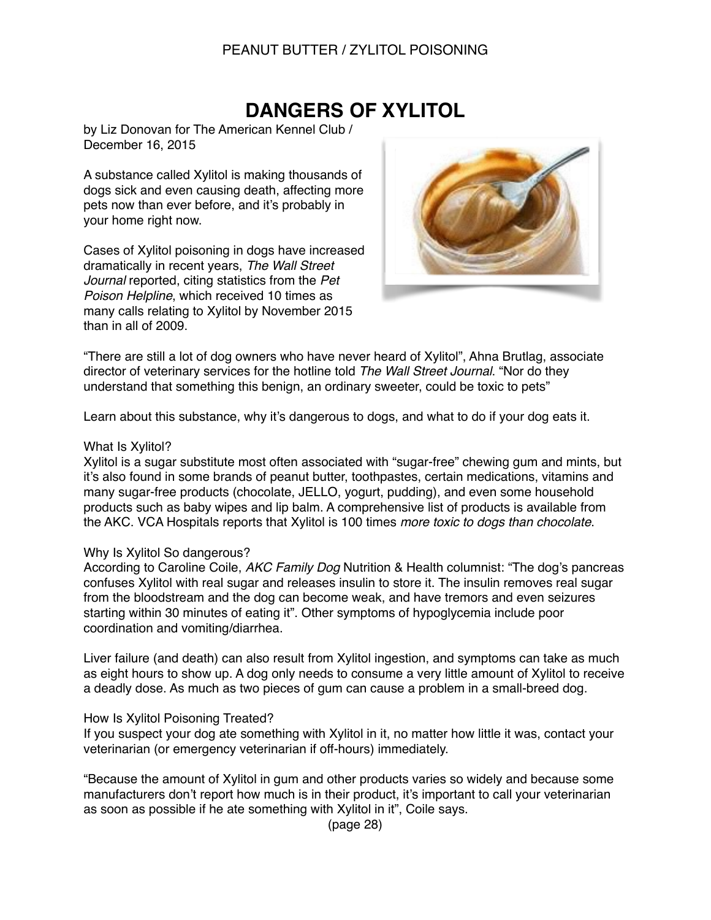# PEANUT BUTTER / ZYLITOL POISONING

# **DANGERS OF XYLITOL**

by Liz Donovan for The American Kennel Club / December 16, 2015

A substance called Xylitol is making thousands of dogs sick and even causing death, affecting more pets now than ever before, and it's probably in your home right now.

Cases of Xylitol poisoning in dogs have increased dramatically in recent years, *The Wall Street Journal* reported, citing statistics from the *Pet Poison Helpline*, which received 10 times as many calls relating to Xylitol by November 2015 than in all of 2009.



"There are still a lot of dog owners who have never heard of Xylitol", Ahna Brutlag, associate director of veterinary services for the hotline told *The Wall Street Journal*. "Nor do they understand that something this benign, an ordinary sweeter, could be toxic to pets"

Learn about this substance, why it's dangerous to dogs, and what to do if your dog eats it.

#### What Is Xylitol?

Xylitol is a sugar substitute most often associated with "sugar-free" chewing gum and mints, but it's also found in some brands of peanut butter, toothpastes, certain medications, vitamins and many sugar-free products (chocolate, JELLO, yogurt, pudding), and even some household products such as baby wipes and lip balm. A comprehensive list of products is available from the AKC. VCA Hospitals reports that Xylitol is 100 times *more toxic to dogs than chocolate*.

## Why Is Xylitol So dangerous?

According to Caroline Coile, *AKC Family Dog* Nutrition & Health columnist: "The dog's pancreas confuses Xylitol with real sugar and releases insulin to store it. The insulin removes real sugar from the bloodstream and the dog can become weak, and have tremors and even seizures starting within 30 minutes of eating it". Other symptoms of hypoglycemia include poor coordination and vomiting/diarrhea.

Liver failure (and death) can also result from Xylitol ingestion, and symptoms can take as much as eight hours to show up. A dog only needs to consume a very little amount of Xylitol to receive a deadly dose. As much as two pieces of gum can cause a problem in a small-breed dog.

#### How Is Xylitol Poisoning Treated?

If you suspect your dog ate something with Xylitol in it, no matter how little it was, contact your veterinarian (or emergency veterinarian if off-hours) immediately.

"Because the amount of Xylitol in gum and other products varies so widely and because some manufacturers don't report how much is in their product, it's important to call your veterinarian as soon as possible if he ate something with Xylitol in it", Coile says.

(page 28)